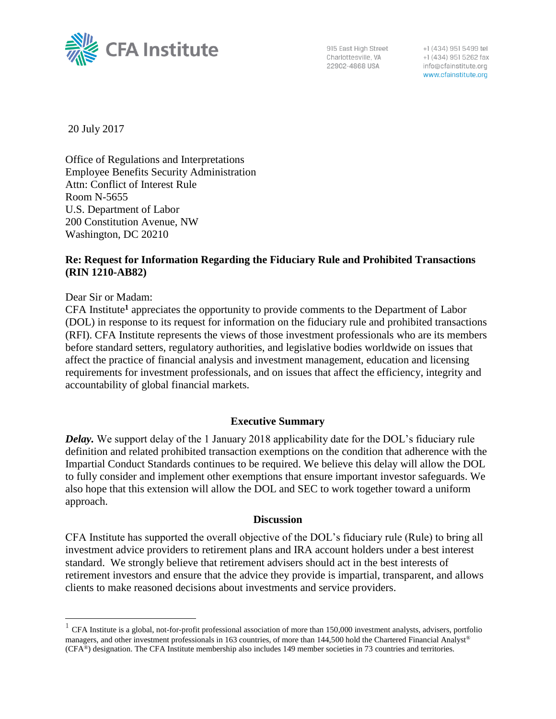

915 East High Street Charlottesville, VA 22902-4868 USA

+1 (434) 951 5499 tel +1 (434) 951 5262 fax info@cfainstitute.org www.cfainstitute.org

20 July 2017

Office of Regulations and Interpretations Employee Benefits Security Administration Attn: Conflict of Interest Rule Room N-5655 U.S. Department of Labor 200 Constitution Avenue, NW Washington, DC 20210

# **Re: Request for Information Regarding the Fiduciary Rule and Prohibited Transactions (RIN 1210-AB82)**

## Dear Sir or Madam:

l

CFA Institute**<sup>1</sup>** appreciates the opportunity to provide comments to the Department of Labor (DOL) in response to its request for information on the fiduciary rule and prohibited transactions (RFI). CFA Institute represents the views of those investment professionals who are its members before standard setters, regulatory authorities, and legislative bodies worldwide on issues that affect the practice of financial analysis and investment management, education and licensing requirements for investment professionals, and on issues that affect the efficiency, integrity and accountability of global financial markets.

### **Executive Summary**

*Delay.* We support delay of the 1 January 2018 applicability date for the DOL's fiduciary rule definition and related prohibited transaction exemptions on the condition that adherence with the Impartial Conduct Standards continues to be required. We believe this delay will allow the DOL to fully consider and implement other exemptions that ensure important investor safeguards. We also hope that this extension will allow the DOL and SEC to work together toward a uniform approach.

#### **Discussion**

CFA Institute has supported the overall objective of the DOL's fiduciary rule (Rule) to bring all investment advice providers to retirement plans and IRA account holders under a best interest standard. We strongly believe that retirement advisers should act in the best interests of retirement investors and ensure that the advice they provide is impartial, transparent, and allows clients to make reasoned decisions about investments and service providers.

<sup>&</sup>lt;sup>1</sup> CFA Institute is a global, not-for-profit professional association of more than 150,000 investment analysts, advisers, portfolio managers, and other investment professionals in 163 countries, of more than 144,500 hold the Chartered Financial Analyst® (CFA®) designation. The CFA Institute membership also includes 149 member societies in 73 countries and territories.